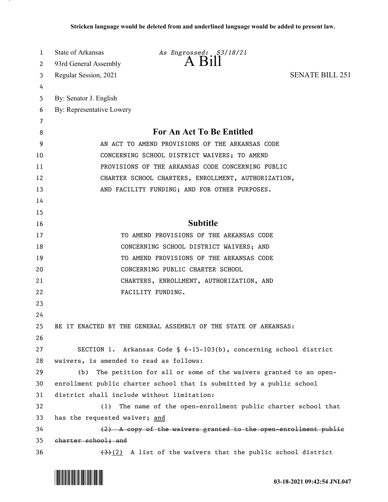| 1  | State of Arkansas                                   | As Engrossed: S3/18/21                                                                         |                        |  |  |  |  |  |  |
|----|-----------------------------------------------------|------------------------------------------------------------------------------------------------|------------------------|--|--|--|--|--|--|
| 2  | 93rd General Assembly                               |                                                                                                |                        |  |  |  |  |  |  |
| 3  | Regular Session, 2021                               |                                                                                                | <b>SENATE BILL 251</b> |  |  |  |  |  |  |
| 4  |                                                     |                                                                                                |                        |  |  |  |  |  |  |
| 5  | By: Senator J. English                              |                                                                                                |                        |  |  |  |  |  |  |
| 6  | By: Representative Lowery                           |                                                                                                |                        |  |  |  |  |  |  |
| 7  |                                                     |                                                                                                |                        |  |  |  |  |  |  |
| 8  | For An Act To Be Entitled                           |                                                                                                |                        |  |  |  |  |  |  |
| 9  | AN ACT TO AMEND PROVISIONS OF THE ARKANSAS CODE     |                                                                                                |                        |  |  |  |  |  |  |
| 10 | CONCERNING SCHOOL DISTRICT WAIVERS; TO AMEND        |                                                                                                |                        |  |  |  |  |  |  |
| 11 | PROVISIONS OF THE ARKANSAS CODE CONCERNING PUBLIC   |                                                                                                |                        |  |  |  |  |  |  |
| 12 | CHARTER SCHOOL CHARTERS, ENROLLMENT, AUTHORIZATION, |                                                                                                |                        |  |  |  |  |  |  |
| 13 |                                                     | AND FACILITY FUNDING; AND FOR OTHER PURPOSES.                                                  |                        |  |  |  |  |  |  |
| 14 |                                                     |                                                                                                |                        |  |  |  |  |  |  |
| 15 |                                                     |                                                                                                |                        |  |  |  |  |  |  |
| 16 |                                                     | <b>Subtitle</b>                                                                                |                        |  |  |  |  |  |  |
| 17 |                                                     | TO AMEND PROVISIONS OF THE ARKANSAS CODE                                                       |                        |  |  |  |  |  |  |
| 18 |                                                     | CONCERNING SCHOOL DISTRICT WAIVERS; AND                                                        |                        |  |  |  |  |  |  |
| 19 |                                                     | TO AMEND PROVISIONS OF THE ARKANSAS CODE                                                       |                        |  |  |  |  |  |  |
| 20 |                                                     | CONCERNING PUBLIC CHARTER SCHOOL                                                               |                        |  |  |  |  |  |  |
| 21 |                                                     | CHARTERS, ENROLLMENT, AUTHORIZATION, AND                                                       |                        |  |  |  |  |  |  |
| 22 | FACILITY FUNDING.                                   |                                                                                                |                        |  |  |  |  |  |  |
| 23 |                                                     |                                                                                                |                        |  |  |  |  |  |  |
| 24 |                                                     |                                                                                                |                        |  |  |  |  |  |  |
| 25 |                                                     | BE IT ENACTED BY THE GENERAL ASSEMBLY OF THE STATE OF ARKANSAS:                                |                        |  |  |  |  |  |  |
| 26 |                                                     |                                                                                                |                        |  |  |  |  |  |  |
| 27 |                                                     | SECTION 1. Arkansas Code § 6-15-103(b), concerning school district                             |                        |  |  |  |  |  |  |
| 28 | waivers, is amended to read as follows:             |                                                                                                |                        |  |  |  |  |  |  |
| 29 | (b)                                                 | The petition for all or some of the waivers granted to an open-                                |                        |  |  |  |  |  |  |
| 30 |                                                     | enrollment public charter school that is submitted by a public school                          |                        |  |  |  |  |  |  |
| 31 | district shall include without limitation:          |                                                                                                |                        |  |  |  |  |  |  |
| 32 | (1)                                                 | The name of the open-enrollment public charter school that                                     |                        |  |  |  |  |  |  |
| 33 | has the requested waiver; and                       |                                                                                                |                        |  |  |  |  |  |  |
| 34 |                                                     | $(2)$ A copy of the waivers granted to the open enrollment public                              |                        |  |  |  |  |  |  |
| 35 | charter school; and                                 |                                                                                                |                        |  |  |  |  |  |  |
| 36 |                                                     | $\left(\frac{4}{3}\right)\left(2\right)$ A list of the waivers that the public school district |                        |  |  |  |  |  |  |

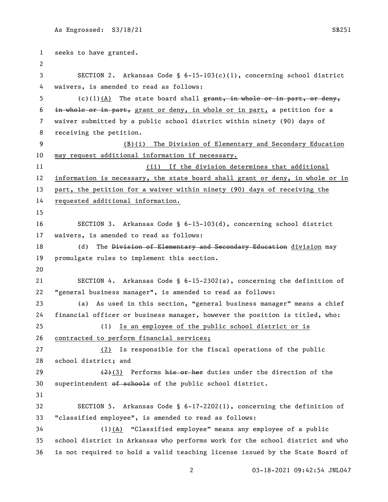```
1 seeks to have granted.
 2
 3 SECTION 2. Arkansas Code § 6-15-103(c)(1), concerning school district 
 4 waivers, is amended to read as follows:
 5 (c)(1)(A) The state board shall \frac{1}{2} and \frac{1}{2} are \frac{1}{2} are \frac{1}{2} or deny,
 6 in whole or in part, grant or deny, in whole or in part, a petition for a 
 7 waiver submitted by a public school district within ninety (90) days of 
8 receiving the petition.
9 (B)(i) The Division of Elementary and Secondary Education 
10 may request additional information if necessary. 
11 (ii) If the division determines that additional 
12 information is necessary, the state board shall grant or deny, in whole or in 
13 part, the petition for a waiver within ninety (90) days of receiving the 
14 requested additional information.
15
16 SECTION 3. Arkansas Code § 6-15-103(d), concerning school district 
17 waivers, is amended to read as follows:
18 (d) The Division of Elementary and Secondary Education division may
19 promulgate rules to implement this section.
20
21 SECTION 4. Arkansas Code § 6-15-2302(a), concerning the definition of 
22 "general business manager", is amended to read as follows:
23 (a) As used in this section, "general business manager" means a chief 
24 financial officer or business manager, however the position is titled, who:
25 (1) Is an employee of the public school district or is 
26 contracted to perform financial services;
27 (2) Is responsible for the fiscal operations of the public 
28 school district; and
29 (2) (3) Performs his or her duties under the direction of the
30 superintendent of schools of the public school district.
31
32 SECTION 5. Arkansas Code § 6-17-2202(1), concerning the definition of 
33 "classified employee", is amended to read as follows:
34 (1)(A) "Classified employee" means any employee of a public 
35 school district in Arkansas who performs work for the school district and who 
36 is not required to hold a valid teaching license issued by the State Board of
```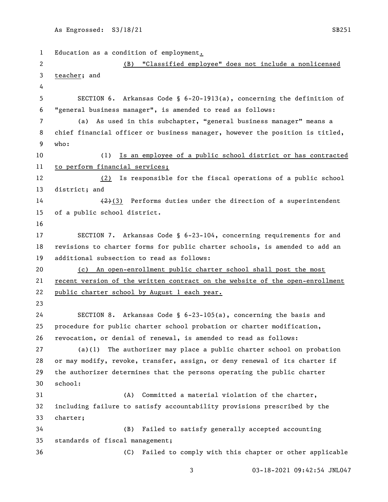Education as a condition of employment. (B) "Classified employee" does not include a nonlicensed teacher; and SECTION 6. Arkansas Code § 6-20-1913(a), concerning the definition of "general business manager", is amended to read as follows: (a) As used in this subchapter, "general business manager" means a chief financial officer or business manager, however the position is titled, who: (1) Is an employee of a public school district or has contracted to perform financial services; (2) Is responsible for the fiscal operations of a public school district; and  $\left(2\right)$  (3) Performs duties under the direction of a superintendent of a public school district. SECTION 7. Arkansas Code § 6-23-104, concerning requirements for and revisions to charter forms for public charter schools, is amended to add an additional subsection to read as follows: (c) An open-enrollment public charter school shall post the most recent version of the written contract on the website of the open-enrollment public charter school by August 1 each year. SECTION 8. Arkansas Code § 6-23-105(a), concerning the basis and procedure for public charter school probation or charter modification, revocation, or denial of renewal, is amended to read as follows: (a)(1) The authorizer may place a public charter school on probation or may modify, revoke, transfer, assign, or deny renewal of its charter if the authorizer determines that the persons operating the public charter school: (A) Committed a material violation of the charter, including failure to satisfy accountability provisions prescribed by the charter; (B) Failed to satisfy generally accepted accounting standards of fiscal management; (C) Failed to comply with this chapter or other applicable

03-18-2021 09:42:54 JNL047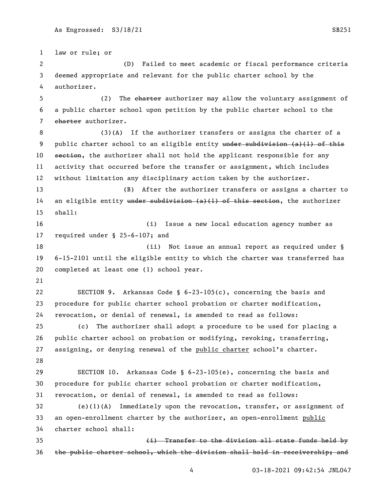law or rule; or (D) Failed to meet academic or fiscal performance criteria deemed appropriate and relevant for the public charter school by the authorizer. 5 (2) The charter authorizer may allow the voluntary assignment of a public charter school upon petition by the public charter school to the 7 charter authorizer. (3)(A) If the authorizer transfers or assigns the charter of a 9 public charter school to an eligible entity under subdivision  $(a)$  (1) of this 10 section, the authorizer shall not hold the applicant responsible for any activity that occurred before the transfer or assignment, which includes without limitation any disciplinary action taken by the authorizer. (B) After the authorizer transfers or assigns a charter to 14 an eligible entity under subdivision  $(a)$  (1) of this section, the authorizer shall: (i) Issue a new local education agency number as required under § 25-6-107; and 18 18 (ii) Not issue an annual report as required under § 6-15-2101 until the eligible entity to which the charter was transferred has completed at least one (1) school year. SECTION 9. Arkansas Code § 6-23-105(c), concerning the basis and procedure for public charter school probation or charter modification, revocation, or denial of renewal, is amended to read as follows: (c) The authorizer shall adopt a procedure to be used for placing a public charter school on probation or modifying, revoking, transferring, assigning, or denying renewal of the public charter school's charter. SECTION 10. Arkansas Code § 6-23-105(e), concerning the basis and procedure for public charter school probation or charter modification, revocation, or denial of renewal, is amended to read as follows: (e)(1)(A) Immediately upon the revocation, transfer, or assignment of an open-enrollment charter by the authorizer, an open-enrollment public charter school shall: (i) Transfer to the division all state funds held by the public charter school, which the division shall hold in receivership; and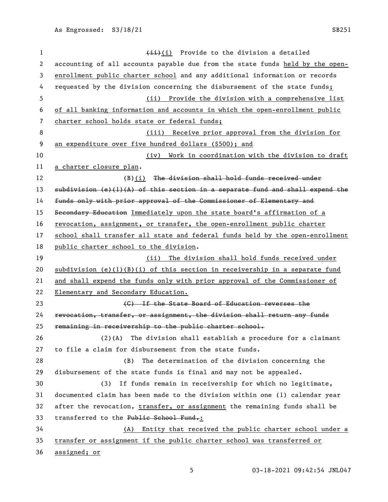1 (ii) Provide to the division a detailed accounting of all accounts payable due from the state funds held by the open- enrollment public charter school and any additional information or records requested by the division concerning the disbursement of the state funds; (ii) Provide the division with a comprehensive list of all banking information and accounts in which the open-enrollment public charter school holds state or federal funds; (iii) Receive prior approval from the division for 9 an expenditure over five hundred dollars (\$500); and (iv) Work in coordination with the division to draft a charter closure plan. 12 (B)(i) The division shall hold funds received under 13 subdivision  $(e)(1)(A)$  of this section in a separate fund and shall expend the funds only with prior approval of the Commissioner of Elementary and 15 Secondary Education Immediately upon the state board's affirmation of a revocation, assignment, or transfer, the open-enrollment public charter school shall transfer all state and federal funds held by the open-enrollment public charter school to the division. (ii) The division shall hold funds received under 20 subdivision (e)(1)(B)(i) of this section in receivership in a separate fund and shall expend the funds only with prior approval of the Commissioner of Elementary and Secondary Education. **120 CONTIGENSTATE:** CONTIERT THE State Board of Education reverses the revocation, transfer, or assignment, the division shall return any funds remaining in receivership to the public charter school. (2)(A) The division shall establish a procedure for a claimant to file a claim for disbursement from the state funds. (B) The determination of the division concerning the disbursement of the state funds is final and may not be appealed. (3) If funds remain in receivership for which no legitimate, documented claim has been made to the division within one (1) calendar year 32 after the revocation, transfer, or assignment the remaining funds shall be 33 transferred to the Public School Fund.: (A) Entity that received the public charter school under a transfer or assignment if the public charter school was transferred or assigned; or

03-18-2021 09:42:54 JNL047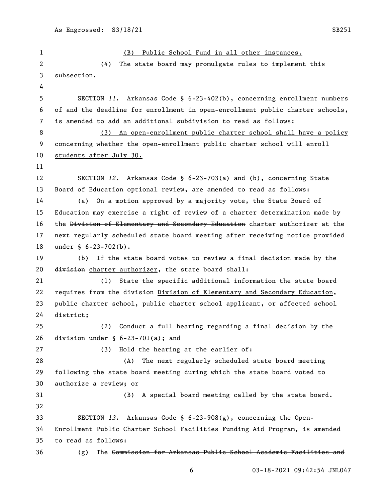(B) Public School Fund in all other instances. (4) The state board may promulgate rules to implement this subsection. SECTION *11*. Arkansas Code § 6-23-402(b), concerning enrollment numbers of and the deadline for enrollment in open-enrollment public charter schools, is amended to add an additional subdivision to read as follows: (3) An open-enrollment public charter school shall have a policy concerning whether the open-enrollment public charter school will enroll students after July 30. SECTION *12*. Arkansas Code § 6-23-703(a) and (b), concerning State Board of Education optional review, are amended to read as follows: (a) On a motion approved by a majority vote, the State Board of Education may exercise a right of review of a charter determination made by 16 the Division of Elementary and Secondary Education charter authorizer at the next regularly scheduled state board meeting after receiving notice provided under § 6-23-702(b). (b) If the state board votes to review a final decision made by the 20 division charter authorizer, the state board shall: (1) State the specific additional information the state board 22 requires from the division Division of Elementary and Secondary Education, public charter school, public charter school applicant, or affected school district; (2) Conduct a full hearing regarding a final decision by the division under § 6-23-701(a); and (3) Hold the hearing at the earlier of: (A) The next regularly scheduled state board meeting following the state board meeting during which the state board voted to authorize a review; or (B) A special board meeting called by the state board. SECTION *13*. Arkansas Code § 6-23-908(g), concerning the Open- Enrollment Public Charter School Facilities Funding Aid Program, is amended to read as follows: (g) The Commission for Arkansas Public School Academic Facilities and